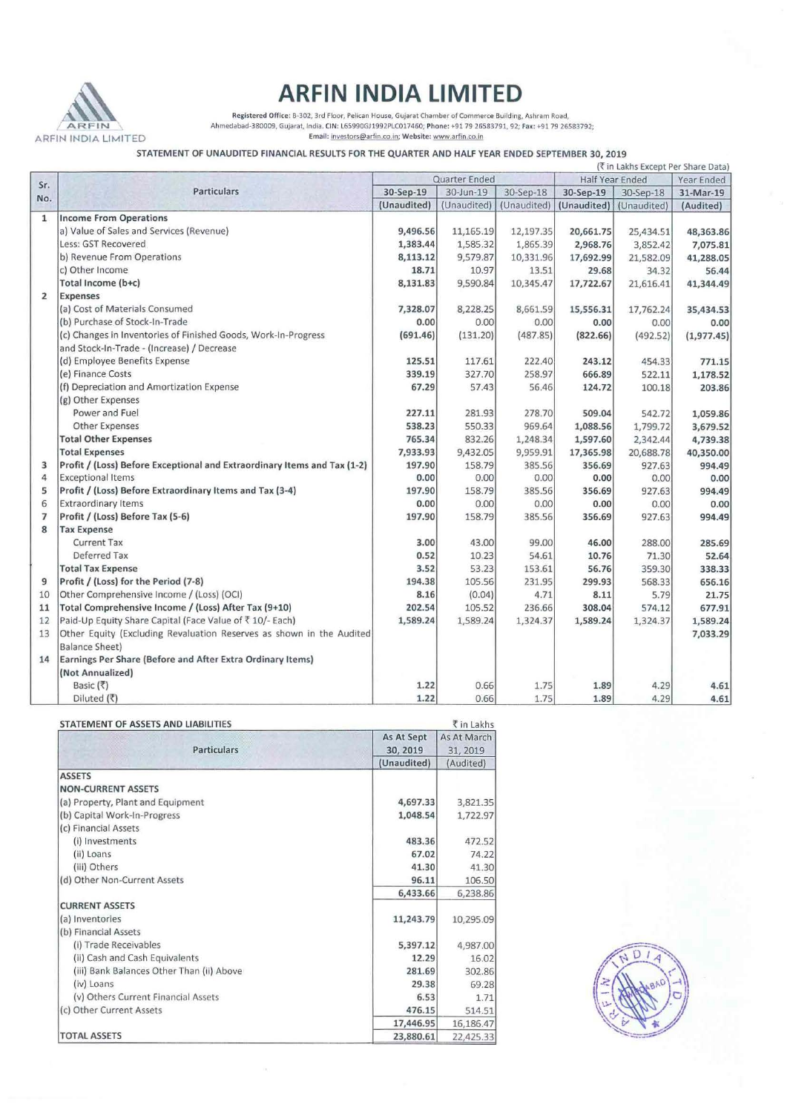

ARFIN INDIA LIMITED **Email: investors@arfin.co.ln; Website: www.arfin.c.o.in** 

### STATEMENT OF UNAUDITED FINANCIAL RESULTS FOR THE QUARTER ANO HALF YEAR ENDED SEPTEMBER 30, 2019

|                |                                                                          | (₹ in Lakhs Except Per Share Data) |             |             |                 |             |            |
|----------------|--------------------------------------------------------------------------|------------------------------------|-------------|-------------|-----------------|-------------|------------|
| Sr.            |                                                                          | Quarter Ended                      |             |             | Half Year Ended |             | Year Ended |
| No.            | <b>Particulars</b>                                                       | 30-Sep-19                          | 30-Jun-19   | 30-Sep-18   | 30-Sep-19       | 30-Sep-18   | 31-Mar-19  |
|                |                                                                          | (Unaudited)                        | (Unaudited) | (Unaudited) | (Unaudited)     | (Unaudited) | (Audited)  |
| $\mathbf{1}$   | <b>Income From Operations</b>                                            |                                    |             |             |                 |             |            |
|                | a) Value of Sales and Services (Revenue)                                 | 9,496.56                           | 11,165.19   | 12,197.35   | 20,661.75       | 25,434.51   | 48,363.86  |
|                | <b>Less: GST Recovered</b>                                               | 1,383.44                           | 1,585.32    | 1,865.39    | 2,968.76        | 3,852.42    | 7,075.81   |
|                | b) Revenue From Operations                                               | 8,113.12                           | 9,579.87    | 10,331.96   | 17,692.99       | 21,582.09   | 41,288.05  |
|                | c) Other Income                                                          | 18.71                              | 10.97       | 13.51       | 29.68           | 34.32       | 56.44      |
|                | Total Income (b+c)                                                       | 8,131.83                           | 9,590.84    | 10,345.47   | 17,722.67       | 21,616.41   | 41,344.49  |
| $\overline{2}$ | <b>Expenses</b>                                                          |                                    |             |             |                 |             |            |
|                | (a) Cost of Materials Consumed                                           | 7,328.07                           | 8,228.25    | 8,661.59    | 15,556.31       | 17,762.24   | 35,434.53  |
|                | (b) Purchase of Stock-In-Trade                                           | 0.00                               | 0.00        | 0.00        | 0.00            | 0.00        | 0.00       |
|                | (c) Changes in Inventories of Finished Goods, Work-In-Progress           | (691.46)                           | (131.20)    | (487.85)    | (822.66)        | (492.52)    | (1,977.45) |
|                | and Stock-In-Trade - (Increase) / Decrease                               |                                    |             |             |                 |             |            |
|                | (d) Employee Benefits Expense                                            | 125.51                             | 117.61      | 222.40      | 243.12          | 454.33      | 771.15     |
|                | (e) Finance Costs                                                        | 339.19                             | 327.70      | 258.97      | 666.89          | 522.11      | 1,178.52   |
|                | (f) Depreciation and Amortization Expense                                | 67.29                              | 57.43       | 56.46       | 124.72          | 100.18      | 203.86     |
|                | (g) Other Expenses                                                       |                                    |             |             |                 |             |            |
|                | Power and Fuel                                                           | 227.11                             | 281.93      | 278.70      | 509.04          | 542.72      | 1,059.86   |
|                | Other Expenses                                                           | 538.23                             | 550.33      | 969.64      | 1,088.56        | 1,799.72    | 3,679.52   |
|                | <b>Total Other Expenses</b>                                              | 765.34                             | 832.26      | 1,248.34    | 1,597.60        | 2,342.44    | 4,739.38   |
|                | <b>Total Expenses</b>                                                    | 7,933.93                           | 9,432.05    | 9,959.91    | 17,365.98       | 20,688.78   | 40,350.00  |
| 3              | Profit / (Loss) Before Exceptional and Extraordinary Items and Tax (1-2) | 197.90                             | 158.79      | 385.56      | 356.69          | 927.63      | 994.49     |
| $\overline{4}$ | <b>Exceptional Items</b>                                                 | 0.00                               | 0.00        | 0.00        | 0.00            | 0.00        | 0.00       |
| 5              | Profit / (Loss) Before Extraordinary Items and Tax (3-4)                 | 197.90                             | 158.79      | 385.56      | 356.69          | 927.63      | 994.49     |
| 6              | <b>Extraordinary Items</b>                                               | 0.00                               | 0.00        | 0.00        | 0.00            | 0.00        | 0.00       |
| $\overline{7}$ | Profit / (Loss) Before Tax (5-6)                                         | 197.90                             | 158.79      | 385.56      | 356.69          | 927.63      | 994.49     |
| 8              | <b>Tax Expense</b>                                                       |                                    |             |             |                 |             |            |
|                | <b>Current Tax</b>                                                       | 3.00                               | 43.00       | 99.00       | 46.00           | 288.00      | 285.69     |
|                | Deferred Tax                                                             | 0.52                               | 10.23       | 54.61       | 10.76           | 71.30       | 52.64      |
|                | <b>Total Tax Expense</b>                                                 | 3.52                               | 53.23       | 153.61      | 56.76           | 359.30      | 338.33     |
| 9              | Profit / (Loss) for the Period (7-8)                                     | 194.38                             | 105.56      | 231.95      | 299.93          | 568.33      | 656.16     |
| 10             | Other Comprehensive Income / (Loss) (OCI)                                | 8.16                               | (0.04)      | 4.71        | 8.11            | 5.79        | 21.75      |
| 11             | Total Comprehensive Income / (Loss) After Tax (9+10)                     | 202.54                             | 105.52      | 236.66      | 308.04          | 574.12      | 677.91     |
| 12             | Paid-Up Equity Share Capital (Face Value of ₹10/- Each)                  | 1,589.24                           | 1,589.24    | 1,324.37    | 1,589.24        | 1,324.37    | 1,589.24   |
| 13             | Other Equity (Excluding Revaluation Reserves as shown in the Audited     |                                    |             |             |                 |             | 7,033.29   |
|                | <b>Balance Sheet)</b>                                                    |                                    |             |             |                 |             |            |
| 14             | Earnings Per Share (Before and After Extra Ordinary Items)               |                                    |             |             |                 |             |            |
|                | (Not Annualized)                                                         |                                    |             |             |                 |             |            |
|                | Basic $(\bar{x})$                                                        | 1.22                               | 0.66        | 1.75        | 1.89            | 4.29        | 4.61       |
|                | Diluted (₹)                                                              | 1.22                               | 0.66        | 1.75        | 1.89            | 4.29        | 4.61       |

| STATEMENT OF ASSETS AND LIABILITIES       |                        | ₹ in Lakhs              |  |  |
|-------------------------------------------|------------------------|-------------------------|--|--|
| <b>Particulars</b>                        | As At Sept<br>30, 2019 | As At March<br>31, 2019 |  |  |
|                                           | (Unaudited)            | (Audited)               |  |  |
| <b>ASSETS</b>                             |                        |                         |  |  |
| <b>NON-CURRENT ASSETS</b>                 |                        |                         |  |  |
| (a) Property, Plant and Equipment         | 4,697.33               | 3,821.35                |  |  |
| (b) Capital Work-In-Progress              | 1,048.54               | 1,722.97                |  |  |
| (c) Financial Assets                      |                        |                         |  |  |
| (i) Investments                           | 483.36                 | 472.52                  |  |  |
| (ii) Loans                                | 67.02                  | 74.22                   |  |  |
| (iii) Others                              | 41.30                  | 41.30                   |  |  |
| (d) Other Non-Current Assets              | 96.11                  | 106.50                  |  |  |
|                                           | 6,433.66               | 6,238.86                |  |  |
| <b>CURRENT ASSETS</b>                     |                        |                         |  |  |
| (a) Inventories                           | 11,243.79              | 10,295.09               |  |  |
| (b) Financial Assets                      |                        |                         |  |  |
| (i) Trade Receivables                     | 5,397.12               | 4,987.00                |  |  |
| (ii) Cash and Cash Equivalents            | 12.29                  | 16.02                   |  |  |
| (iii) Bank Balances Other Than (ii) Above | 281.69                 | 302.86                  |  |  |
| (iv) Loans                                | 29.38                  | 69.28                   |  |  |
| (v) Others Current Financial Assets       | 6.53                   | 1.71                    |  |  |
| (c) Other Current Assets                  | 476.15                 | 514.51                  |  |  |
|                                           | 17,446.95              | 16,186.47               |  |  |
| <b>TOTAL ASSETS</b>                       | 23,880.61              | 22,425.33               |  |  |

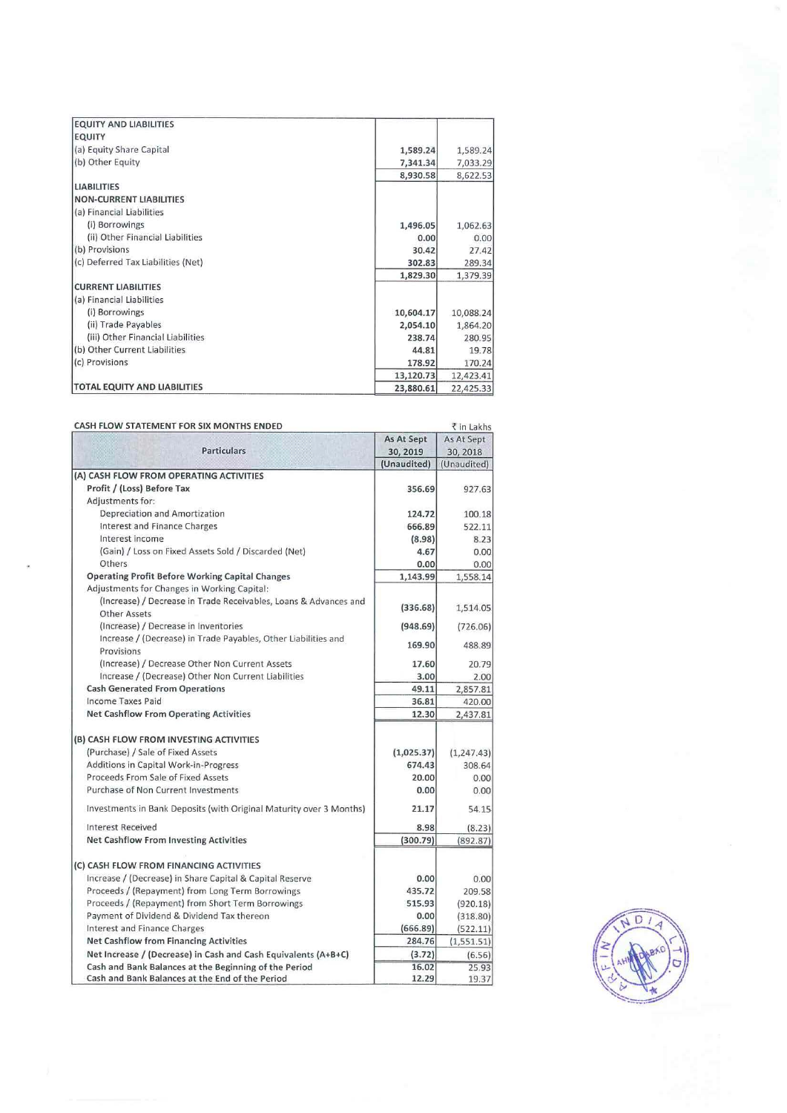| <b>EQUITY AND LIABILITIES</b>      |           |           |
|------------------------------------|-----------|-----------|
| <b>EQUITY</b>                      |           |           |
| (a) Equity Share Capital           | 1,589.24  | 1,589.24  |
| (b) Other Equity                   | 7,341.34  | 7,033.29  |
|                                    | 8,930.58  | 8,622.53  |
| <b>LIABILITIES</b>                 |           |           |
| <b>NON-CURRENT LIABILITIES</b>     |           |           |
| (a) Financial Liabilities          |           |           |
| (i) Borrowings                     | 1,496.05  | 1,062.63  |
| (ii) Other Financial Liabilities   | 0.00      | 0.00      |
| (b) Provisions                     | 30.42     | 27.42     |
| (c) Deferred Tax Liabilities (Net) | 302.83    | 289.34    |
|                                    | 1,829.30  | 1,379.39  |
| <b>CURRENT LIABILITIES</b>         |           |           |
| (a) Financial Liabilities          |           |           |
| (i) Borrowings                     | 10,604.17 | 10,088.24 |
| (ii) Trade Payables                | 2,054.10  | 1,864.20  |
| (iii) Other Financial Liabilities  | 238.74    | 280.95    |
| (b) Other Current Liabilities      | 44.81     | 19.78     |
| (c) Provisions                     | 178.92    | 170.24    |
|                                    | 13,120.73 | 12,423.41 |
| TOTAL EQUITY AND LIABILITIES       | 23,880.61 | 22,425.33 |

| CASH FLOW STATEMENT FOR SIX MONTHS ENDED                            | ₹ in Lakhs  |             |  |
|---------------------------------------------------------------------|-------------|-------------|--|
|                                                                     | As At Sept  | As At Sept  |  |
| <b>Particulars</b>                                                  | 30, 2019    | 30, 2018    |  |
|                                                                     | (Unaudited) | (Unaudited) |  |
| (A) CASH FLOW FROM OPERATING ACTIVITIES                             |             |             |  |
| Profit / (Loss) Before Tax                                          | 356.69      | 927.63      |  |
| Adjustments for:                                                    |             |             |  |
| Depreciation and Amortization                                       | 124.72      | 100.18      |  |
| Interest and Finance Charges                                        | 666.89      | 522.11      |  |
| Interest income                                                     | (8.98)      | 8.23        |  |
| (Gain) / Loss on Fixed Assets Sold / Discarded (Net)                | 4.67        | 0.00        |  |
| Others                                                              | 0.00        | 0.00        |  |
| <b>Operating Profit Before Working Capital Changes</b>              | 1,143.99    | 1,558.14    |  |
| Adjustments for Changes in Working Capital:                         |             |             |  |
| (Increase) / Decrease in Trade Receivables, Loans & Advances and    | (336.68)    | 1,514.05    |  |
| <b>Other Assets</b>                                                 |             |             |  |
| (Increase) / Decrease in Inventories                                | (948.69)    | (726.06)    |  |
| Increase / (Decrease) in Trade Payables, Other Liabilities and      | 169.90      | 488.89      |  |
| Provisions                                                          |             |             |  |
| (Increase) / Decrease Other Non Current Assets                      | 17.60       | 20.79       |  |
| Increase / (Decrease) Other Non Current Liabilities                 | 3.00        | 2.00        |  |
| <b>Cash Generated From Operations</b>                               | 49.11       | 2,857.81    |  |
| <b>Income Taxes Paid</b>                                            | 36.81       | 420.00      |  |
| <b>Net Cashflow From Operating Activities</b>                       | 12.30       | 2,437.81    |  |
| (B) CASH FLOW FROM INVESTING ACTIVITIES                             |             |             |  |
| (Purchase) / Sale of Fixed Assets                                   | (1,025.37)  | (1,247.43)  |  |
| Additions in Capital Work-in-Progress                               | 674.43      | 308.64      |  |
| Proceeds From Sale of Fixed Assets                                  | 20.00       | 0.00        |  |
| Purchase of Non Current Investments                                 | 0.00        | 0.00        |  |
| Investments in Bank Deposits (with Original Maturity over 3 Months) | 21.17       | 54.15       |  |
| <b>Interest Received</b>                                            | 8.98        | (8.23)      |  |
| <b>Net Cashflow From Investing Activities</b>                       | (300.79)    | (892.87)    |  |
| (C) CASH FLOW FROM FINANCING ACTIVITIES                             |             |             |  |
| Increase / (Decrease) in Share Capital & Capital Reserve            | 0.00        | 0.00        |  |
| Proceeds / (Repayment) from Long Term Borrowings                    | 435.72      | 209.58      |  |
| Proceeds / (Repayment) from Short Term Borrowings                   | 515.93      | (920.18)    |  |
| Payment of Dividend & Dividend Tax thereon                          | 0.00        | (318.80)    |  |
| Interest and Finance Charges                                        | (666.89)    | (522.11)    |  |
| <b>Net Cashflow from Financing Activities</b>                       | 284.76      | (1,551.51)  |  |
| Net Increase / (Decrease) in Cash and Cash Equivalents (A+B+C)      | (3.72)      | (6.56)      |  |
| Cash and Bank Balances at the Beginning of the Period               | 16.02       | 25.93       |  |
| Cash and Bank Balances at the End of the Period                     | 12.29       | 19.37       |  |

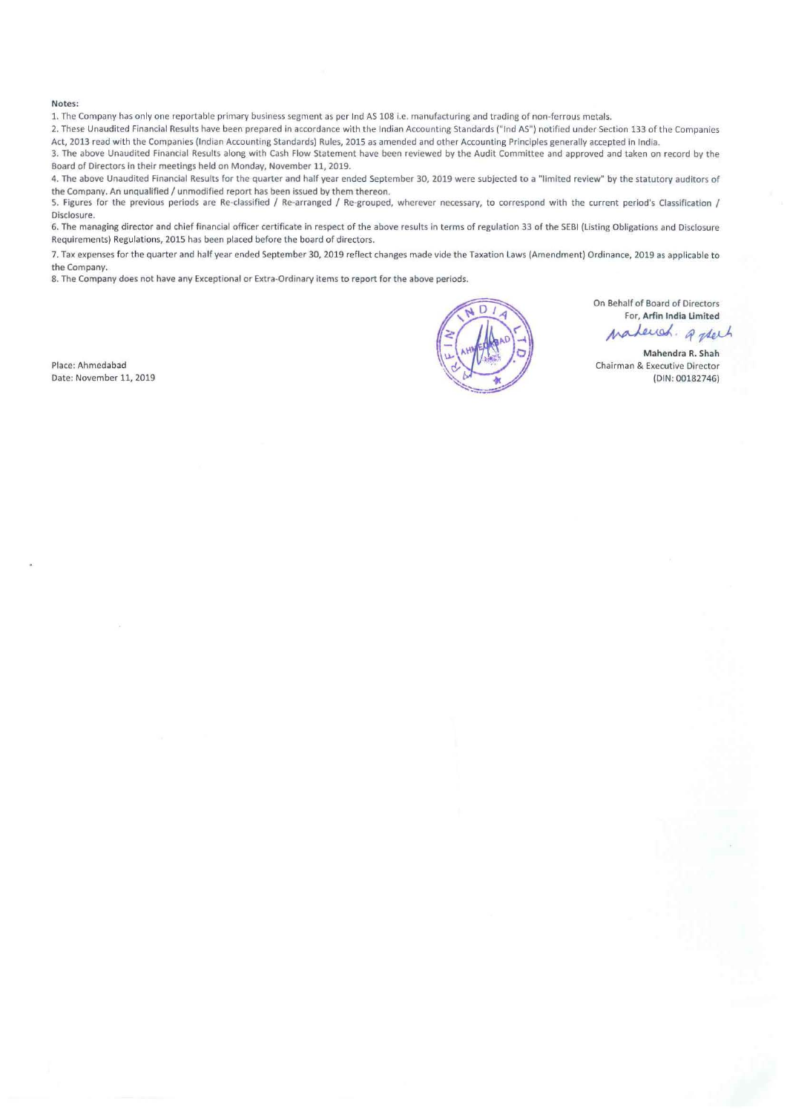### Notes:

1. The Company has only one reportable primary business segment as per Ind AS 108 i.e. manufacturing and trading of non-ferrous metals.

2. These Unaudited Financial Results have been prepared in accordance with the Indian Accounting Standards ("Ind AS") notified under Section 133 of the Companies Act, 2013 read with the Companies (Indian Accounting Standards) Rules, 2015 as amended and other Accounting Principles generally accepted in India.

3. The above Unaudited Financial Results along with Cash Flow Statement have been reviewed by the Audit Committee and approved and taken on record by the Board of Directors in their meetings held on Monday, November 11, 2019.

4. The above Unaudited Financial Results for the quarter and half year ended September 30, 2019 were subjected to a "limited review" by the statutory auditors of the Company. An unqualified / unmodified report has been issued by them thereon.

5. Figures for the previous periods are Re-classified / Re-arranged / Re-grouped, wherever necessary, to correspond with the current period's Classification / Disclosure.

6. The managing director and chief financial officer certificate in respect of the above results in terms of regulation 33 of the SEBI (Listing Obligations and Disclosure Requirements) Regulations, 2015 has been placed before the board of directors.

7. Tax expenses for the quarter and half year ended September 30, 2019 reflect changes made vlde the Taxation Laws (Amendment) Ordinance, 2019 as applicable to the Company.

8. The Company does not have any Exceptional or Extra-Ordinary items to report for the above periods.

Place: Ahmedabad Date: November 11, 2019



On Behalf of Board of Directors For, Arfin India Limited waterich. A prech

Mahendra R. Shah

Chairman & Executive Director (DIN: 00182746)